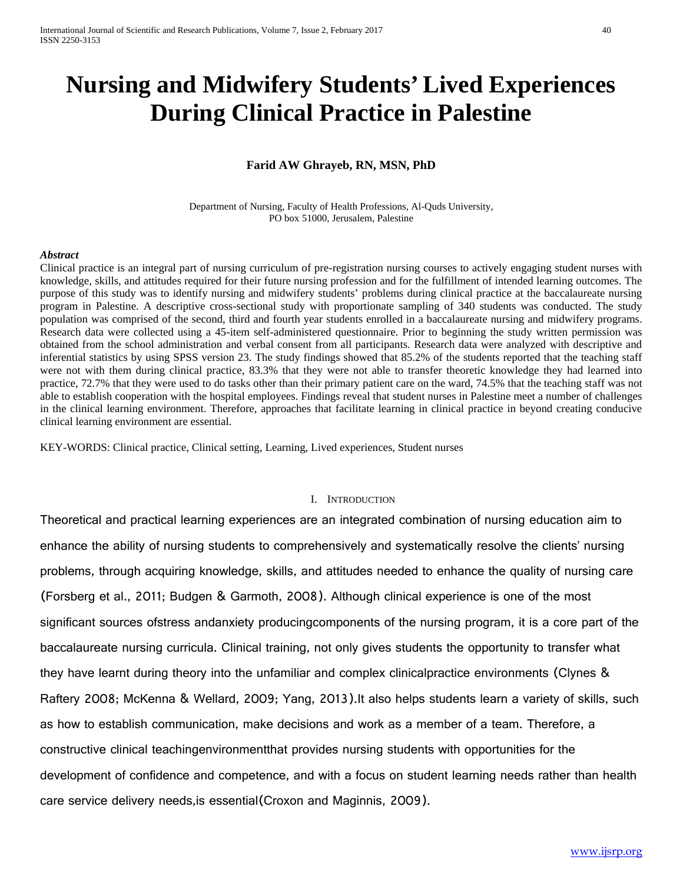# **Nursing and Midwifery Students' Lived Experiences During Clinical Practice in Palestine**

### **Farid AW Ghrayeb, RN, MSN, PhD**

Department of Nursing, Faculty of Health Professions, Al-Quds University, PO box 51000, Jerusalem, Palestine

#### *Abstract*

Clinical practice is an integral part of nursing curriculum of pre-registration nursing courses to actively engaging student nurses with knowledge, skills, and attitudes required for their future nursing profession and for the fulfillment of intended learning outcomes. The purpose of this study was to identify nursing and midwifery students' problems during clinical practice at the baccalaureate nursing program in Palestine. A descriptive cross-sectional study with proportionate sampling of 340 students was conducted. The study population was comprised of the second, third and fourth year students enrolled in a baccalaureate nursing and midwifery programs. Research data were collected using a 45-item self-administered questionnaire. Prior to beginning the study written permission was obtained from the school administration and verbal consent from all participants. Research data were analyzed with descriptive and inferential statistics by using SPSS version 23. The study findings showed that 85.2% of the students reported that the teaching staff were not with them during clinical practice, 83.3% that they were not able to transfer theoretic knowledge they had learned into practice, 72.7% that they were used to do tasks other than their primary patient care on the ward, 74.5% that the teaching staff was not able to establish cooperation with the hospital employees. Findings reveal that student nurses in Palestine meet a number of challenges in the clinical learning environment. Therefore, approaches that facilitate learning in clinical practice in beyond creating conducive clinical learning environment are essential.

KEY-WORDS: Clinical practice, Clinical setting, Learning, Lived experiences, Student nurses

#### I. INTRODUCTION

Theoretical and practical learning experiences are an integrated combination of nursing education aim to enhance the ability of nursing students to comprehensively and systematically resolve the clients' nursing problems, through acquiring knowledge, skills, and attitudes needed to enhance the quality of nursing care (Forsberg et al., 2011; Budgen & Garmoth, 2008). Although clinical experience is one of the most significant sources ofstress andanxiety producingcomponents of the nursing program, it is a core part of the baccalaureate nursing curricula. Clinical training, not only gives students the opportunity to transfer what they have learnt during theory into the unfamiliar and complex clinicalpractice environments (Clynes & Raftery 2008; McKenna & Wellard, 2009; Yang, 2013).It also helps students learn a variety of skills, such as how to establish communication, make decisions and work as a member of a team. Therefore, a constructive clinical teachingenvironmentthat provides nursing students with opportunities for the development of confidence and competence, and with a focus on student learning needs rather than health care service delivery needs,is essential(Croxon and Maginnis, 2009).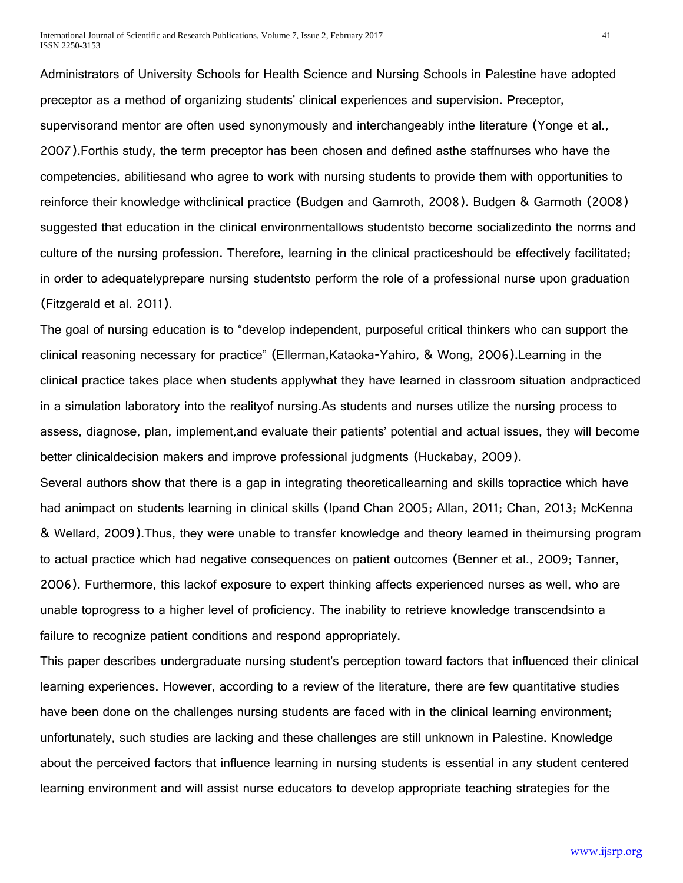Administrators of University Schools for Health Science and Nursing Schools in Palestine have adopted preceptor as a method of organizing students' clinical experiences and supervision. Preceptor, supervisorand mentor are often used synonymously and interchangeably inthe literature (Yonge et al., 2007).Forthis study, the term preceptor has been chosen and defined asthe staffnurses who have the competencies, abilitiesand who agree to work with nursing students to provide them with opportunities to reinforce their knowledge withclinical practice (Budgen and Gamroth, 2008). Budgen & Garmoth (2008) suggested that education in the clinical environmentallows studentsto become socializedinto the norms and culture of the nursing profession. Therefore, learning in the clinical practiceshould be effectively facilitated; in order to adequatelyprepare nursing studentsto perform the role of a professional nurse upon graduation (Fitzgerald et al. 2011).

The goal of nursing education is to "develop independent, purposeful critical thinkers who can support the clinical reasoning necessary for practice" (Ellerman,Kataoka-Yahiro, & Wong, 2006).Learning in the clinical practice takes place when students applywhat they have learned in classroom situation andpracticed in a simulation laboratory into the realityof nursing.As students and nurses utilize the nursing process to assess, diagnose, plan, implement,and evaluate their patients' potential and actual issues, they will become better clinicaldecision makers and improve professional judgments (Huckabay, 2009).

Several authors show that there is a gap in integrating theoreticallearning and skills topractice which have had animpact on students learning in clinical skills (Ipand Chan 2005; Allan, 2011; Chan, 2013; McKenna & Wellard, 2009).Thus, they were unable to transfer knowledge and theory learned in theirnursing program to actual practice which had negative consequences on patient outcomes (Benner et al., 2009; Tanner, 2006). Furthermore, this lackof exposure to expert thinking affects experienced nurses as well, who are unable toprogress to a higher level of proficiency. The inability to retrieve knowledge transcendsinto a failure to recognize patient conditions and respond appropriately.

This paper describes undergraduate nursing student's perception toward factors that influenced their clinical learning experiences. However, according to a review of the literature, there are few quantitative studies have been done on the challenges nursing students are faced with in the clinical learning environment; unfortunately, such studies are lacking and these challenges are still unknown in Palestine. Knowledge about the perceived factors that influence learning in nursing students is essential in any student centered learning environment and will assist nurse educators to develop appropriate teaching strategies for the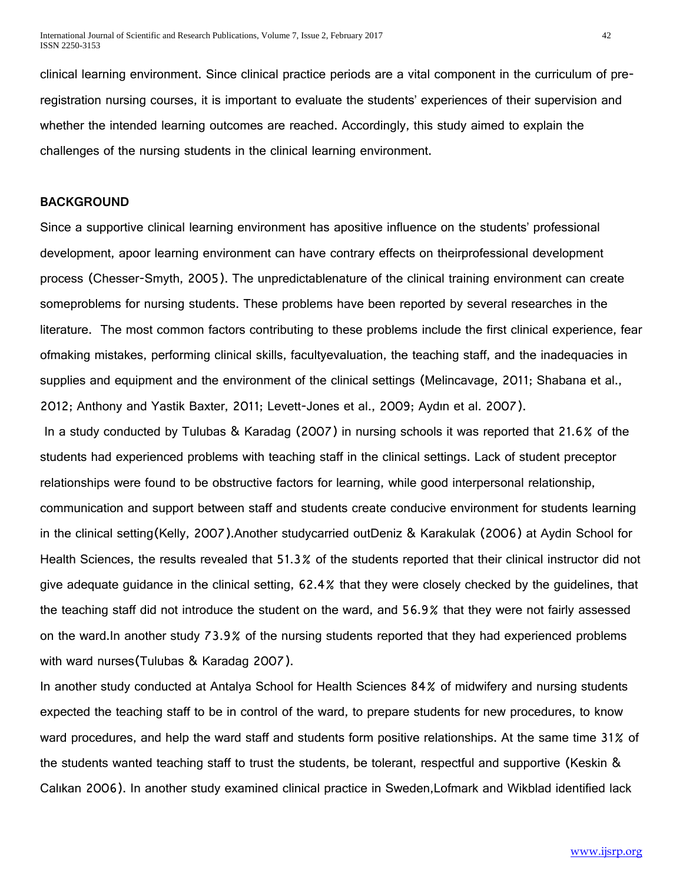clinical learning environment. Since clinical practice periods are a vital component in the curriculum of preregistration nursing courses, it is important to evaluate the students' experiences of their supervision and whether the intended learning outcomes are reached. Accordingly, this study aimed to explain the challenges of the nursing students in the clinical learning environment.

### **BACKGROUND**

Since a supportive clinical learning environment has apositive influence on the students' professional development, apoor learning environment can have contrary effects on theirprofessional development process (Chesser-Smyth, 2005). The unpredictablenature of the clinical training environment can create someproblems for nursing students. These problems have been reported by several researches in the literature. The most common factors contributing to these problems include the first clinical experience, fear ofmaking mistakes, performing clinical skills, facultyevaluation, the teaching staff, and the inadequacies in supplies and equipment and the environment of the clinical settings (Melincavage, 2011; Shabana et al., 2012; Anthony and Yastik Baxter, 2011; Levett-Jones et al., 2009; Aydın et al. 2007).

In a study conducted by Tulubas & Karadag (2007) in nursing schools it was reported that 21.6% of the students had experienced problems with teaching staff in the clinical settings. Lack of student preceptor relationships were found to be obstructive factors for learning, while good interpersonal relationship, communication and support between staff and students create conducive environment for students learning in the clinical setting(Kelly, 2007).Another studycarried outDeniz & Karakulak (2006) at Aydin School for Health Sciences, the results revealed that 51.3% of the students reported that their clinical instructor did not give adequate guidance in the clinical setting, 62.4% that they were closely checked by the guidelines, that the teaching staff did not introduce the student on the ward, and 56.9% that they were not fairly assessed on the ward.In another study 73.9% of the nursing students reported that they had experienced problems with ward nurses(Tulubas & Karadag 2007).

In another study conducted at Antalya School for Health Sciences 84% of midwifery and nursing students expected the teaching staff to be in control of the ward, to prepare students for new procedures, to know ward procedures, and help the ward staff and students form positive relationships. At the same time 31% of the students wanted teaching staff to trust the students, be tolerant, respectful and supportive (Keskin & Calıkan 2006). In another study examined clinical practice in Sweden,Lofmark and Wikblad identified lack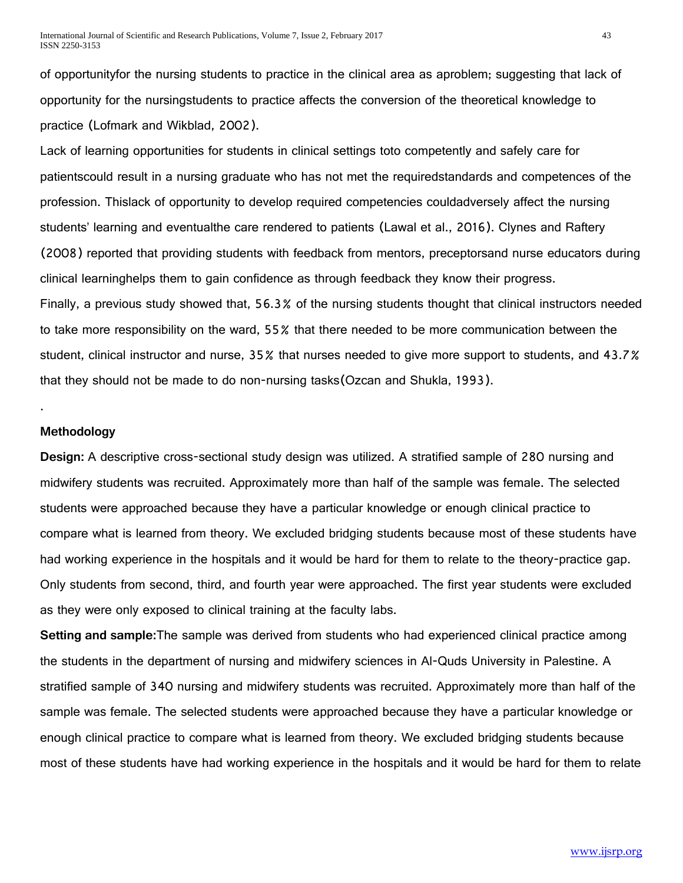of opportunityfor the nursing students to practice in the clinical area as aproblem; suggesting that lack of opportunity for the nursingstudents to practice affects the conversion of the theoretical knowledge to practice (Lofmark and Wikblad, 2002).

Lack of learning opportunities for students in clinical settings toto competently and safely care for patientscould result in a nursing graduate who has not met the requiredstandards and competences of the profession. Thislack of opportunity to develop required competencies couldadversely affect the nursing students' learning and eventualthe care rendered to patients (Lawal et al., 2016). Clynes and Raftery (2008) reported that providing students with feedback from mentors, preceptorsand nurse educators during clinical learninghelps them to gain confidence as through feedback they know their progress. Finally, a previous study showed that, 56.3% of the nursing students thought that clinical instructors needed to take more responsibility on the ward, 55% that there needed to be more communication between the student, clinical instructor and nurse, 35% that nurses needed to give more support to students, and 43.7% that they should not be made to do non-nursing tasks(Ozcan and Shukla, 1993).

## **Methodology**

.

**Design:** A descriptive cross-sectional study design was utilized. A stratified sample of 280 nursing and midwifery students was recruited. Approximately more than half of the sample was female. The selected students were approached because they have a particular knowledge or enough clinical practice to compare what is learned from theory. We excluded bridging students because most of these students have had working experience in the hospitals and it would be hard for them to relate to the theory-practice gap. Only students from second, third, and fourth year were approached. The first year students were excluded as they were only exposed to clinical training at the faculty labs.

**Setting and sample:**The sample was derived from students who had experienced clinical practice among the students in the department of nursing and midwifery sciences in Al-Quds University in Palestine. A stratified sample of 340 nursing and midwifery students was recruited. Approximately more than half of the sample was female. The selected students were approached because they have a particular knowledge or enough clinical practice to compare what is learned from theory. We excluded bridging students because most of these students have had working experience in the hospitals and it would be hard for them to relate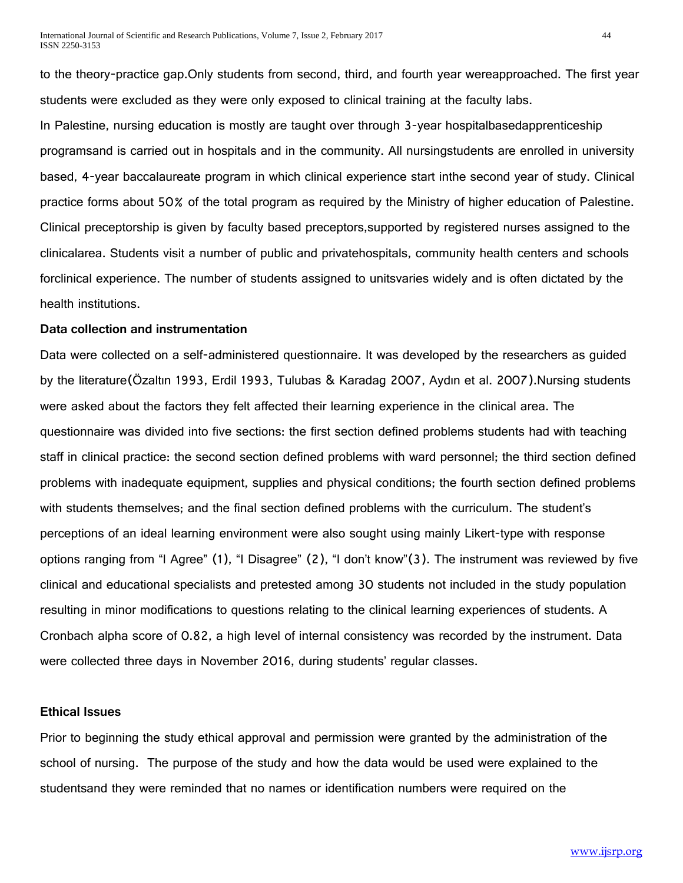to the theory-practice gap.Only students from second, third, and fourth year wereapproached. The first year students were excluded as they were only exposed to clinical training at the faculty labs.

In Palestine, nursing education is mostly are taught over through 3-year hospitalbasedapprenticeship programsand is carried out in hospitals and in the community. All nursingstudents are enrolled in university based, 4-year baccalaureate program in which clinical experience start inthe second year of study. Clinical practice forms about 50% of the total program as required by the Ministry of higher education of Palestine. Clinical preceptorship is given by faculty based preceptors,supported by registered nurses assigned to the clinicalarea. Students visit a number of public and privatehospitals, community health centers and schools forclinical experience. The number of students assigned to unitsvaries widely and is often dictated by the health institutions.

### **Data collection and instrumentation**

Data were collected on a self-administered questionnaire. It was developed by the researchers as guided by the literature(Özaltın 1993, Erdil 1993, Tulubas & Karadag 2007, Aydın et al. 2007).Nursing students were asked about the factors they felt affected their learning experience in the clinical area. The questionnaire was divided into five sections: the first section defined problems students had with teaching staff in clinical practice: the second section defined problems with ward personnel; the third section defined problems with inadequate equipment, supplies and physical conditions; the fourth section defined problems with students themselves; and the final section defined problems with the curriculum. The student's perceptions of an ideal learning environment were also sought using mainly Likert-type with response options ranging from "I Agree" (1), "I Disagree" (2), "I don't know"(3). The instrument was reviewed by five clinical and educational specialists and pretested among 30 students not included in the study population resulting in minor modifications to questions relating to the clinical learning experiences of students. A Cronbach alpha score of 0.82, a high level of internal consistency was recorded by the instrument. Data were collected three days in November 2016, during students' regular classes.

## **Ethical Issues**

Prior to beginning the study ethical approval and permission were granted by the administration of the school of nursing. The purpose of the study and how the data would be used were explained to the studentsand they were reminded that no names or identification numbers were required on the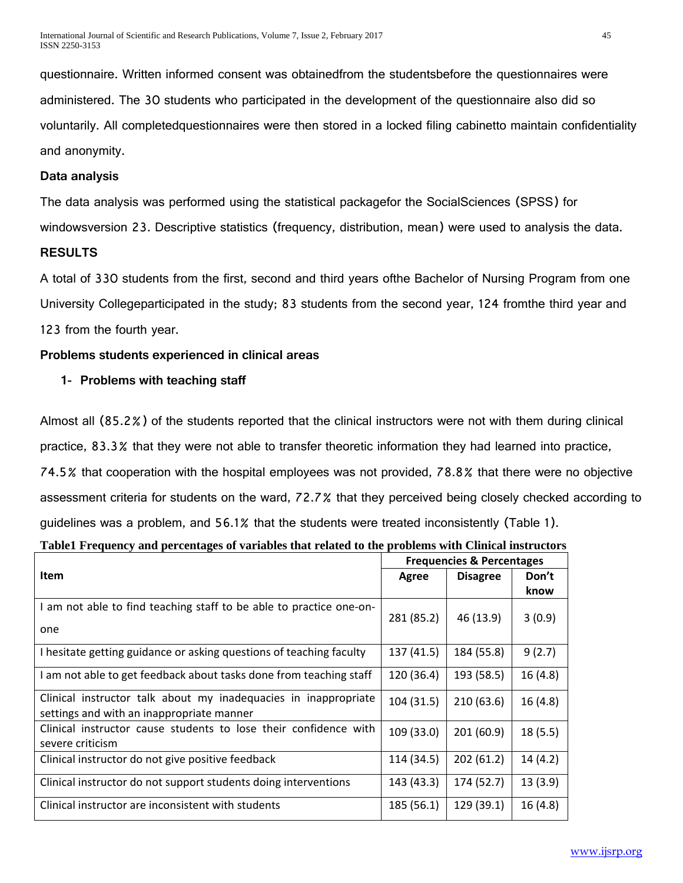questionnaire. Written informed consent was obtainedfrom the studentsbefore the questionnaires were administered. The 30 students who participated in the development of the questionnaire also did so voluntarily. All completedquestionnaires were then stored in a locked filing cabinetto maintain confidentiality and anonymity.

## **Data analysis**

The data analysis was performed using the statistical packagefor the SocialSciences (SPSS) for

windowsversion 23. Descriptive statistics (frequency, distribution, mean) were used to analysis the data.

## **RESULTS**

A total of 330 students from the first, second and third years ofthe Bachelor of Nursing Program from one University Collegeparticipated in the study; 83 students from the second year, 124 fromthe third year and 123 from the fourth year.

## **Problems students experienced in clinical areas**

## **1- Problems with teaching staff**

Almost all (85.2%) of the students reported that the clinical instructors were not with them during clinical practice, 83.3% that they were not able to transfer theoretic information they had learned into practice,

74.5% that cooperation with the hospital employees was not provided, 78.8% that there were no objective assessment criteria for students on the ward, 72.7% that they perceived being closely checked according to guidelines was a problem, and 56.1% that the students were treated inconsistently (Table 1).

|  |  |  |  |  |  | Table1 Frequency and percentages of variables that related to the problems with Clinical instructors |
|--|--|--|--|--|--|------------------------------------------------------------------------------------------------------|
|--|--|--|--|--|--|------------------------------------------------------------------------------------------------------|

|                                                                                                              | <b>Frequencies &amp; Percentages</b> |                 |               |  |
|--------------------------------------------------------------------------------------------------------------|--------------------------------------|-----------------|---------------|--|
| <b>Item</b>                                                                                                  | Agree                                | <b>Disagree</b> | Don't<br>know |  |
| am not able to find teaching staff to be able to practice one-on-<br>one                                     | 281 (85.2)                           | 46 (13.9)       | 3(0.9)        |  |
| I hesitate getting guidance or asking questions of teaching faculty                                          | 137 (41.5)                           | 184 (55.8)      | 9(2.7)        |  |
| I am not able to get feedback about tasks done from teaching staff                                           | 120 (36.4)                           | 193 (58.5)      | 16(4.8)       |  |
| Clinical instructor talk about my inadequacies in inappropriate<br>settings and with an inappropriate manner | 104 (31.5)                           | 210(63.6)       | 16(4.8)       |  |
| Clinical instructor cause students to lose their confidence with<br>severe criticism                         | 109 (33.0)                           | 201(60.9)       | 18(5.5)       |  |
| Clinical instructor do not give positive feedback                                                            | 114 (34.5)                           | 202(61.2)       | 14(4.2)       |  |
| Clinical instructor do not support students doing interventions                                              | 143 (43.3)                           | 174 (52.7)      | 13(3.9)       |  |
| Clinical instructor are inconsistent with students                                                           | 185 (56.1)                           | 129 (39.1)      | 16(4.8)       |  |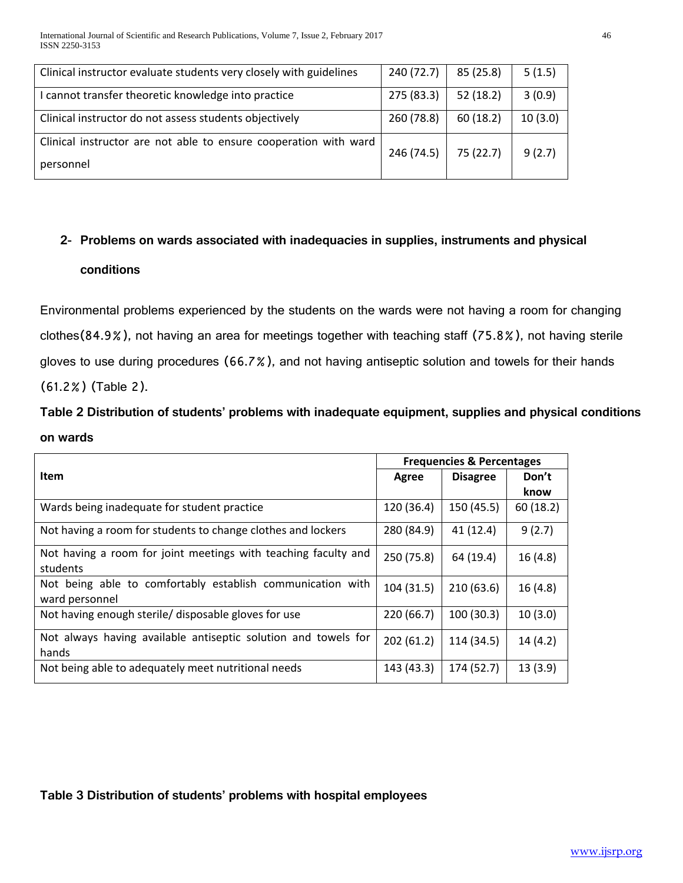| 240 (72.7) | 85 (25.8) | 5(1.5)  |
|------------|-----------|---------|
| 275 (83.3) | 52(18.2)  | 3(0.9)  |
| 260 (78.8) | 60(18.2)  | 10(3.0) |
| 246 (74.5) | 75 (22.7) | 9(2.7)  |
|            |           |         |

## **2- Problems on wards associated with inadequacies in supplies, instruments and physical conditions**

Environmental problems experienced by the students on the wards were not having a room for changing clothes(84.9%), not having an area for meetings together with teaching staff (75.8%), not having sterile gloves to use during procedures (66.7%), and not having antiseptic solution and towels for their hands (61.2%) (Table 2).

**Table 2 Distribution of students' problems with inadequate equipment, supplies and physical conditions on wards**

|                                                                              | <b>Frequencies &amp; Percentages</b> |                 |          |
|------------------------------------------------------------------------------|--------------------------------------|-----------------|----------|
| Item                                                                         | Agree                                | <b>Disagree</b> | Don't    |
|                                                                              |                                      |                 | know     |
| Wards being inadequate for student practice                                  | 120 (36.4)                           | 150 (45.5)      | 60(18.2) |
| Not having a room for students to change clothes and lockers                 | 280 (84.9)                           | 41(12.4)        | 9(2.7)   |
| Not having a room for joint meetings with teaching faculty and<br>students   | 250 (75.8)                           | 64 (19.4)       | 16(4.8)  |
| Not being able to comfortably establish communication with<br>ward personnel | 104 (31.5)                           | 210(63.6)       | 16(4.8)  |
| Not having enough sterile/ disposable gloves for use                         | 220 (66.7)                           | 100(30.3)       | 10(3.0)  |
| Not always having available antiseptic solution and towels for<br>hands      | 202(61.2)                            | 114 (34.5)      | 14(4.2)  |
| Not being able to adequately meet nutritional needs                          | 143 (43.3)                           | 174 (52.7)      | 13(3.9)  |

## **Table 3 Distribution of students' problems with hospital employees**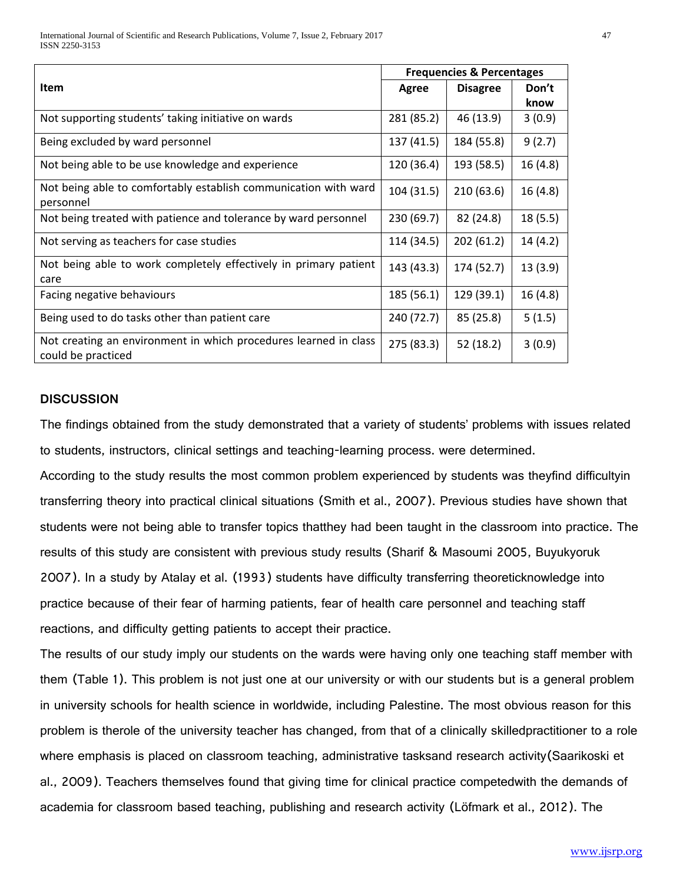|                                                                                        | <b>Frequencies &amp; Percentages</b> |                 |          |  |
|----------------------------------------------------------------------------------------|--------------------------------------|-----------------|----------|--|
| Item                                                                                   | Agree                                | <b>Disagree</b> | Don't    |  |
|                                                                                        |                                      |                 | know     |  |
| Not supporting students' taking initiative on wards                                    | 281 (85.2)                           | 46 (13.9)       | 3(0.9)   |  |
| Being excluded by ward personnel                                                       | 137 (41.5)                           | 184 (55.8)      | 9(2.7)   |  |
| Not being able to be use knowledge and experience                                      | 120 (36.4)                           | 193 (58.5)      | 16(4.8)  |  |
| Not being able to comfortably establish communication with ward<br>personnel           | 104 (31.5)                           | 210(63.6)       | 16 (4.8) |  |
| Not being treated with patience and tolerance by ward personnel                        | 230 (69.7)                           | 82 (24.8)       | 18(5.5)  |  |
| Not serving as teachers for case studies                                               | 114 (34.5)                           | 202(61.2)       | 14(4.2)  |  |
| Not being able to work completely effectively in primary patient<br>care               | 143 (43.3)                           | 174 (52.7)      | 13(3.9)  |  |
| Facing negative behaviours                                                             | 185 (56.1)                           | 129 (39.1)      | 16(4.8)  |  |
| Being used to do tasks other than patient care                                         | 240 (72.7)                           | 85 (25.8)       | 5(1.5)   |  |
| Not creating an environment in which procedures learned in class<br>could be practiced | 275 (83.3)                           | 52 (18.2)       | 3(0.9)   |  |

## **DISCUSSION**

The findings obtained from the study demonstrated that a variety of students' problems with issues related to students, instructors, clinical settings and teaching-learning process. were determined.

According to the study results the most common problem experienced by students was theyfind difficultyin transferring theory into practical clinical situations (Smith et al., 2007). Previous studies have shown that students were not being able to transfer topics thatthey had been taught in the classroom into practice. The results of this study are consistent with previous study results (Sharif & Masoumi 2005, Buyukyoruk 2007). In a study by Atalay et al. (1993) students have difficulty transferring theoreticknowledge into practice because of their fear of harming patients, fear of health care personnel and teaching staff reactions, and difficulty getting patients to accept their practice.

The results of our study imply our students on the wards were having only one teaching staff member with them (Table 1). This problem is not just one at our university or with our students but is a general problem in university schools for health science in worldwide, including Palestine. The most obvious reason for this problem is therole of the university teacher has changed, from that of a clinically skilledpractitioner to a role where emphasis is placed on classroom teaching, administrative tasksand research activity(Saarikoski et al., 2009). Teachers themselves found that giving time for clinical practice competedwith the demands of academia for classroom based teaching, publishing and research activity (Löfmark et al., 2012). The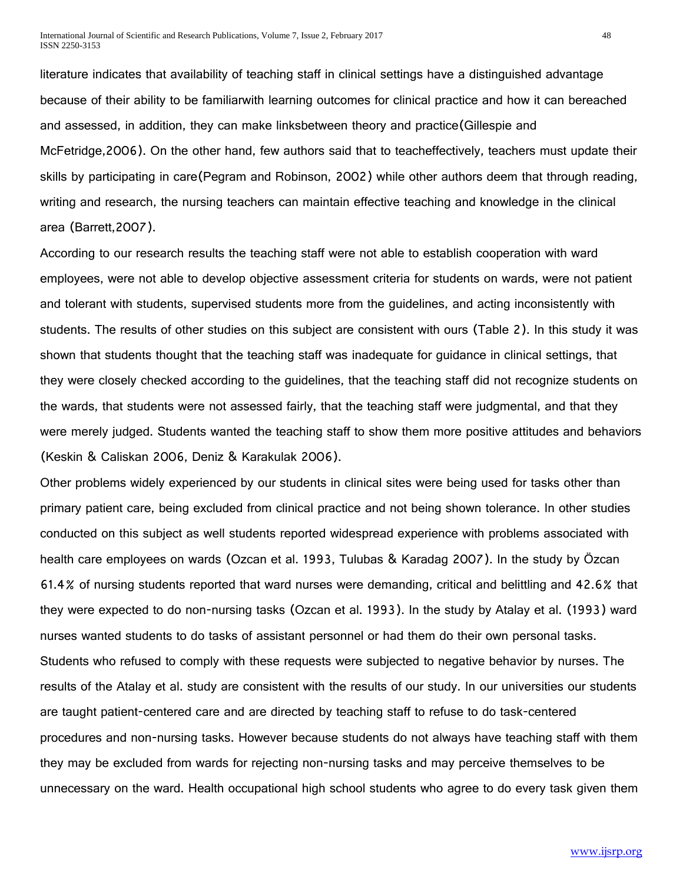literature indicates that availability of teaching staff in clinical settings have a distinguished advantage because of their ability to be familiarwith learning outcomes for clinical practice and how it can bereached and assessed, in addition, they can make linksbetween theory and practice(Gillespie and McFetridge,2006). On the other hand, few authors said that to teacheffectively, teachers must update their skills by participating in care(Pegram and Robinson, 2002) while other authors deem that through reading, writing and research, the nursing teachers can maintain effective teaching and knowledge in the clinical area (Barrett,2007).

According to our research results the teaching staff were not able to establish cooperation with ward employees, were not able to develop objective assessment criteria for students on wards, were not patient and tolerant with students, supervised students more from the guidelines, and acting inconsistently with students. The results of other studies on this subject are consistent with ours (Table 2). In this study it was shown that students thought that the teaching staff was inadequate for guidance in clinical settings, that they were closely checked according to the guidelines, that the teaching staff did not recognize students on the wards, that students were not assessed fairly, that the teaching staff were judgmental, and that they were merely judged. Students wanted the teaching staff to show them more positive attitudes and behaviors (Keskin & Caliskan 2006, Deniz & Karakulak 2006).

Other problems widely experienced by our students in clinical sites were being used for tasks other than primary patient care, being excluded from clinical practice and not being shown tolerance. In other studies conducted on this subject as well students reported widespread experience with problems associated with health care employees on wards (Ozcan et al. 1993, Tulubas & Karadag 2007). In the study by Özcan 61.4% of nursing students reported that ward nurses were demanding, critical and belittling and 42.6% that they were expected to do non-nursing tasks (Ozcan et al. 1993). In the study by Atalay et al. (1993) ward nurses wanted students to do tasks of assistant personnel or had them do their own personal tasks. Students who refused to comply with these requests were subjected to negative behavior by nurses. The results of the Atalay et al. study are consistent with the results of our study. In our universities our students are taught patient-centered care and are directed by teaching staff to refuse to do task-centered procedures and non-nursing tasks. However because students do not always have teaching staff with them they may be excluded from wards for rejecting non-nursing tasks and may perceive themselves to be unnecessary on the ward. Health occupational high school students who agree to do every task given them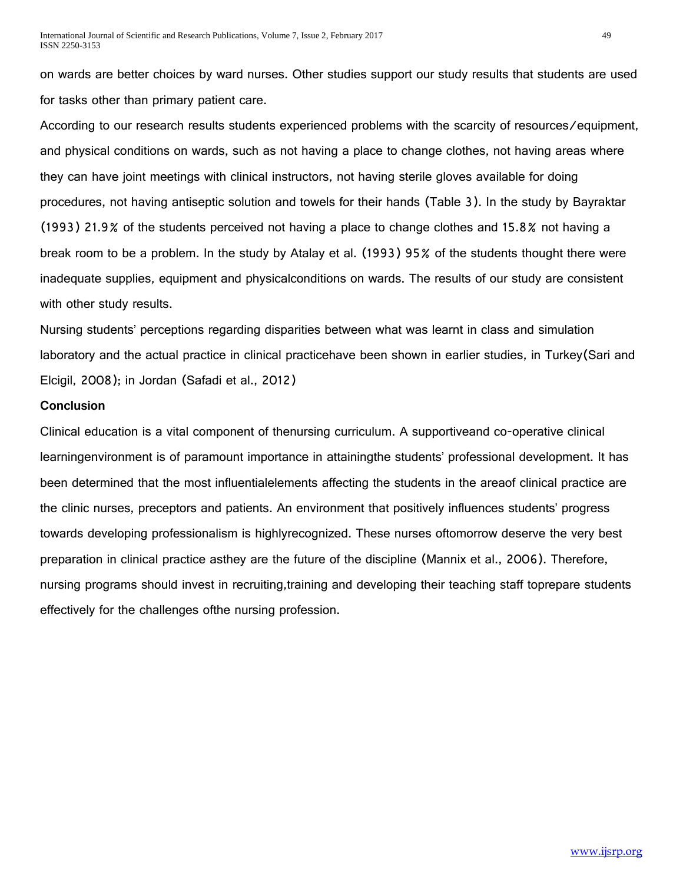on wards are better choices by ward nurses. Other studies support our study results that students are used for tasks other than primary patient care.

According to our research results students experienced problems with the scarcity of resources/equipment, and physical conditions on wards, such as not having a place to change clothes, not having areas where they can have joint meetings with clinical instructors, not having sterile gloves available for doing procedures, not having antiseptic solution and towels for their hands (Table 3). In the study by Bayraktar (1993) 21.9% of the students perceived not having a place to change clothes and 15.8% not having a break room to be a problem. In the study by Atalay et al. (1993) 95% of the students thought there were inadequate supplies, equipment and physicalconditions on wards. The results of our study are consistent with other study results.

Nursing students' perceptions regarding disparities between what was learnt in class and simulation laboratory and the actual practice in clinical practicehave been shown in earlier studies, in Turkey(Sari and Elcigil, 2008); in Jordan (Safadi et al., 2012)

### **Conclusion**

Clinical education is a vital component of thenursing curriculum. A supportiveand co-operative clinical learningenvironment is of paramount importance in attainingthe students' professional development. It has been determined that the most influentialelements affecting the students in the areaof clinical practice are the clinic nurses, preceptors and patients. An environment that positively influences students' progress towards developing professionalism is highlyrecognized. These nurses oftomorrow deserve the very best preparation in clinical practice asthey are the future of the discipline (Mannix et al., 2006). Therefore, nursing programs should invest in recruiting,training and developing their teaching staff toprepare students effectively for the challenges ofthe nursing profession.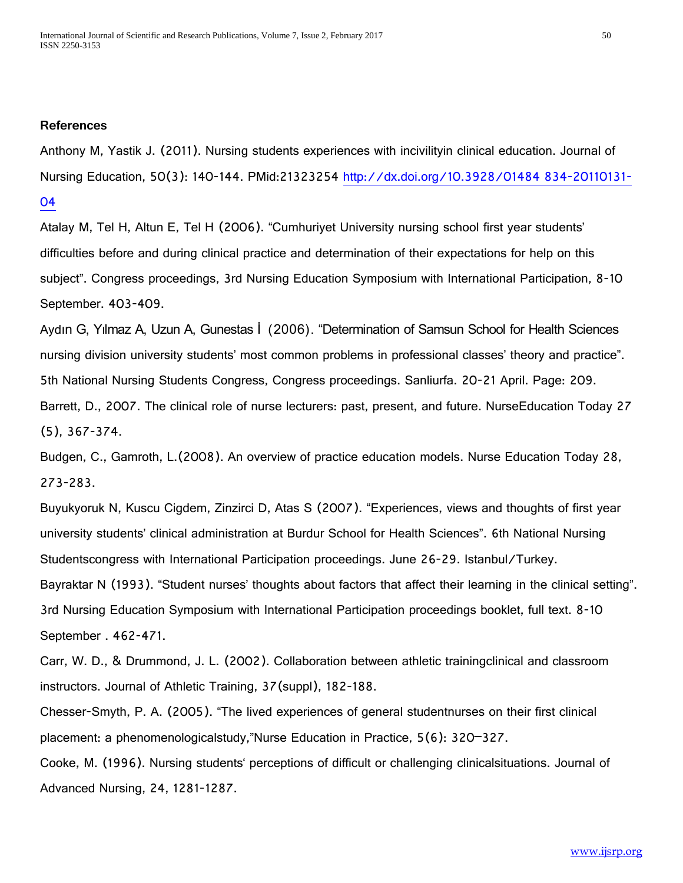### **References**

Anthony M, Yastik J. (2011). Nursing students experiences with incivilityin clinical education. Journal of Nursing Education, 50(3): 140-144. PMid:21323254 [http://dx.doi.org/10.3928/01484 834-20110131-](http://dx.doi.org/10.3928/01484%20834-20110131-04)

## [04](http://dx.doi.org/10.3928/01484%20834-20110131-04)

Atalay M, Tel H, Altun E, Tel H (2006). "Cumhuriyet University nursing school first year students' difficulties before and during clinical practice and determination of their expectations for help on this subject". Congress proceedings, 3rd Nursing Education Symposium with International Participation, 8-10 September. 403-409.

Aydın G, Yılmaz A, Uzun A, Gunestas İ (2006). "Determination of Samsun School for Health Sciences nursing division university students' most common problems in professional classes' theory and practice". 5th National Nursing Students Congress, Congress proceedings. Sanliurfa. 20-21 April. Page: 209. Barrett, D., 2007. The clinical role of nurse lecturers: past, present, and future. NurseEducation Today 27 (5), 367-374.

Budgen, C., Gamroth, L.(2008). An overview of practice education models. Nurse Education Today 28, 273-283.

Buyukyoruk N, Kuscu Cigdem, Zinzirci D, Atas S (2007). "Experiences, views and thoughts of first year university students' clinical administration at Burdur School for Health Sciences". 6th National Nursing Studentscongress with International Participation proceedings. June 26-29. Istanbul/Turkey.

Bayraktar N (1993). "Student nurses' thoughts about factors that affect their learning in the clinical setting". 3rd Nursing Education Symposium with International Participation proceedings booklet, full text. 8-10 September . 462-471.

Carr, W. D., & Drummond, J. L. (2002). Collaboration between athletic trainingclinical and classroom instructors. Journal of Athletic Training, 37(suppl), 182-188.

Chesser-Smyth, P. A. (2005). "The lived experiences of general studentnurses on their first clinical placement: a phenomenologicalstudy,"Nurse Education in Practice, 5(6): 320–327.

Cooke, M. (1996). Nursing students' perceptions of difficult or challenging clinicalsituations. Journal of Advanced Nursing, 24, 1281-1287.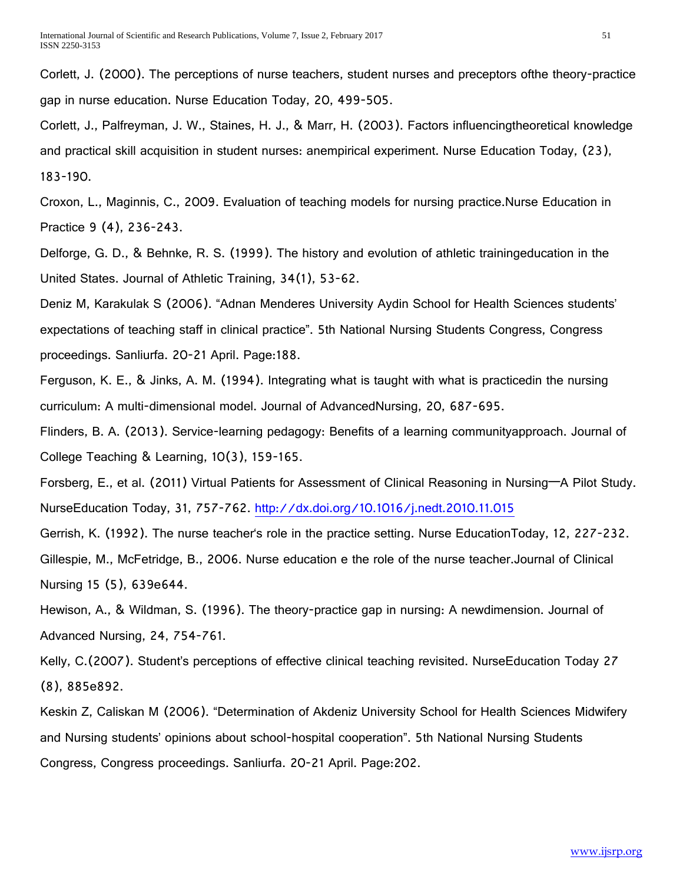Corlett, J. (2000). The perceptions of nurse teachers, student nurses and preceptors ofthe theory-practice gap in nurse education. Nurse Education Today, 20, 499-505.

Corlett, J., Palfreyman, J. W., Staines, H. J., & Marr, H. (2003). Factors influencingtheoretical knowledge and practical skill acquisition in student nurses: anempirical experiment. Nurse Education Today, (23), 183-190.

Croxon, L., Maginnis, C., 2009. Evaluation of teaching models for nursing practice.Nurse Education in Practice 9 (4), 236-243.

Delforge, G. D., & Behnke, R. S. (1999). The history and evolution of athletic trainingeducation in the United States. Journal of Athletic Training, 34(1), 53-62.

Deniz M, Karakulak S (2006). "Adnan Menderes University Aydin School for Health Sciences students' expectations of teaching staff in clinical practice". 5th National Nursing Students Congress, Congress proceedings. Sanliurfa. 20-21 April. Page:188.

Ferguson, K. E., & Jinks, A. M. (1994). Integrating what is taught with what is practicedin the nursing curriculum: A multi-dimensional model. Journal of AdvancedNursing, 20, 687-695.

Flinders, B. A. (2013). Service-learning pedagogy: Benefits of a learning communityapproach. Journal of College Teaching & Learning, 10(3), 159-165.

Forsberg, E., et al. (2011) Virtual Patients for Assessment of Clinical Reasoning in Nursing—A Pilot Study. NurseEducation Today, 31, 757-762.<http://dx.doi.org/10.1016/j.nedt.2010.11.015>

Gerrish, K. (1992). The nurse teacher's role in the practice setting. Nurse EducationToday, 12, 227-232. Gillespie, M., McFetridge, B., 2006. Nurse education e the role of the nurse teacher.Journal of Clinical Nursing 15 (5), 639e644.

Hewison, A., & Wildman, S. (1996). The theory-practice gap in nursing: A newdimension. Journal of Advanced Nursing, 24, 754-761.

Kelly, C.(2007). Student's perceptions of effective clinical teaching revisited. NurseEducation Today 27 (8), 885e892.

Keskin Z, Caliskan M (2006). "Determination of Akdeniz University School for Health Sciences Midwifery and Nursing students' opinions about school-hospital cooperation". 5th National Nursing Students Congress, Congress proceedings. Sanliurfa. 20-21 April. Page:202.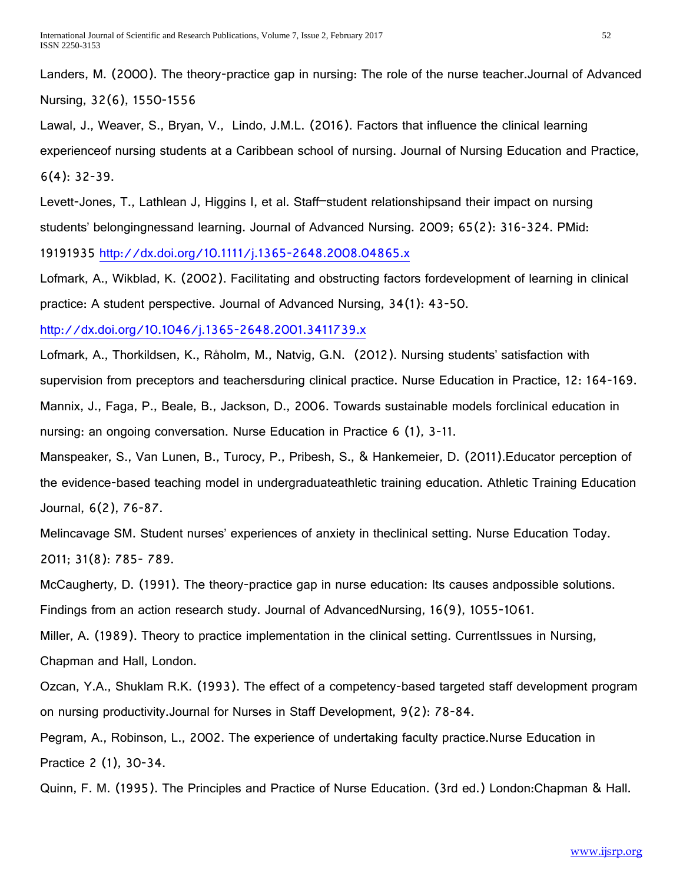Landers, M. (2000). The theory-practice gap in nursing: The role of the nurse teacher.Journal of Advanced Nursing, 32(6), 1550-1556

Lawal, J., Weaver, S., Bryan, V., Lindo, J.M.L. (2016). Factors that influence the clinical learning experienceof nursing students at a Caribbean school of nursing. Journal of Nursing Education and Practice, 6(4): 32-39.

Levett-Jones, T., Lathlean J, Higgins I, et al. Staff–student relationshipsand their impact on nursing students' belongingnessand learning. Journal of Advanced Nursing. 2009; 65(2): 316-324. PMid:

19191935<http://dx.doi.org/10.1111/j.1365-2648.2008.04865.x>

Lofmark, A., Wikblad, K. (2002). Facilitating and obstructing factors fordevelopment of learning in clinical practice: A student perspective. Journal of Advanced Nursing, 34(1): 43-50.

<http://dx.doi.org/10.1046/j.1365-2648.2001.3411739.x>

Lofmark, A., Thorkildsen, K., Råholm, M., Natvig, G.N. (2012). Nursing students' satisfaction with supervision from preceptors and teachersduring clinical practice. Nurse Education in Practice, 12: 164-169. Mannix, J., Faga, P., Beale, B., Jackson, D., 2006. Towards sustainable models forclinical education in nursing: an ongoing conversation. Nurse Education in Practice 6 (1), 3-11.

Manspeaker, S., Van Lunen, B., Turocy, P., Pribesh, S., & Hankemeier, D. (2011).Educator perception of the evidence-based teaching model in undergraduateathletic training education. Athletic Training Education Journal, 6(2), 76-87.

Melincavage SM. Student nurses' experiences of anxiety in theclinical setting. Nurse Education Today. 2011; 31(8): 785- 789.

McCaugherty, D. (1991). The theory-practice gap in nurse education: Its causes andpossible solutions.

Findings from an action research study. Journal of AdvancedNursing, 16(9), 1055-1061.

Miller, A. (1989). Theory to practice implementation in the clinical setting. CurrentIssues in Nursing, Chapman and Hall, London.

Ozcan, Y.A., Shuklam R.K. (1993). The effect of a competency-based targeted staff development program on nursing productivity.Journal for Nurses in Staff Development, 9(2): 78-84.

Pegram, A., Robinson, L., 2002. The experience of undertaking faculty practice.Nurse Education in Practice 2 (1), 30-34.

Quinn, F. M. (1995). The Principles and Practice of Nurse Education. (3rd ed.) London:Chapman & Hall.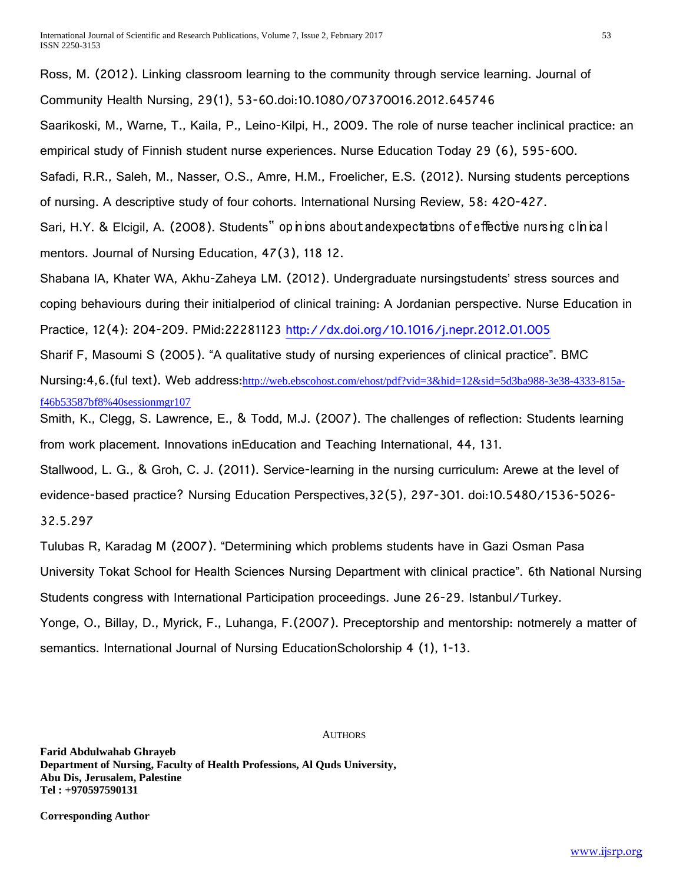Ross, M. (2012). Linking classroom learning to the community through service learning. Journal of Community Health Nursing, 29(1), 53-60.doi:10.1080/07370016.2012.645746 Saarikoski, M., Warne, T., Kaila, P., Leino-Kilpi, H., 2009. The role of nurse teacher inclinical practice: an empirical study of Finnish student nurse experiences. Nurse Education Today 29 (6), 595-600. Safadi, R.R., Saleh, M., Nasser, O.S., Amre, H.M., Froelicher, E.S. (2012). Nursing students perceptions of nursing. A descriptive study of four cohorts. International Nursing Review, 58: 420-427. Sari, H.Y. & Elcigil, A. (2008). Students" op *n* ions about and expectations of effective nursing clinical mentors. Journal of Nursing Education, 47(3), 118 12. Shabana IA, Khater WA, Akhu-Zaheya LM. (2012). Undergraduate nursingstudents' stress sources and coping behaviours during their initialperiod of clinical training: A Jordanian perspective. Nurse Education in Practice, 12(4): 204-209. PMid:22281123<http://dx.doi.org/10.1016/j.nepr.2012.01.005> Sharif F, Masoumi S (2005). "A qualitative study of nursing experiences of clinical practice". BMC Nursing:4,6.(ful text). Web address:[http://web.ebscohost.com/ehost/pdf?vid=3&hid=12&sid=5d3ba988-3e38-4333-815a](http://web.ebscohost.com/ehost/pdf?vid=3&hid=12&sid=5d3ba988-3e38-4333-815a-f46b53587bf8%40sessionmgr107)[f46b53587bf8%40sessionmgr107](http://web.ebscohost.com/ehost/pdf?vid=3&hid=12&sid=5d3ba988-3e38-4333-815a-f46b53587bf8%40sessionmgr107) Smith, K., Clegg, S. Lawrence, E., & Todd, M.J. (2007). The challenges of reflection: Students learning from work placement. Innovations inEducation and Teaching International, 44, 131. Stallwood, L. G., & Groh, C. J. (2011). Service-learning in the nursing curriculum: Arewe at the level of evidence-based practice? Nursing Education Perspectives,32(5), 297-301. doi:10.5480/1536-5026- 32.5.297 Tulubas R, Karadag M (2007). "Determining which problems students have in Gazi Osman Pasa University Tokat School for Health Sciences Nursing Department with clinical practice". 6th National Nursing

Students congress with International Participation proceedings. June 26-29. Istanbul/Turkey.

Yonge, O., Billay, D., Myrick, F., Luhanga, F.(2007). Preceptorship and mentorship: notmerely a matter of semantics. International Journal of Nursing EducationScholorship 4 (1), 1-13.

**AUTHORS** 

**Farid Abdulwahab Ghrayeb Department of Nursing, Faculty of Health Professions, Al Quds University, Abu Dis, Jerusalem, Palestine Tel : +970597590131**

**Corresponding Author**